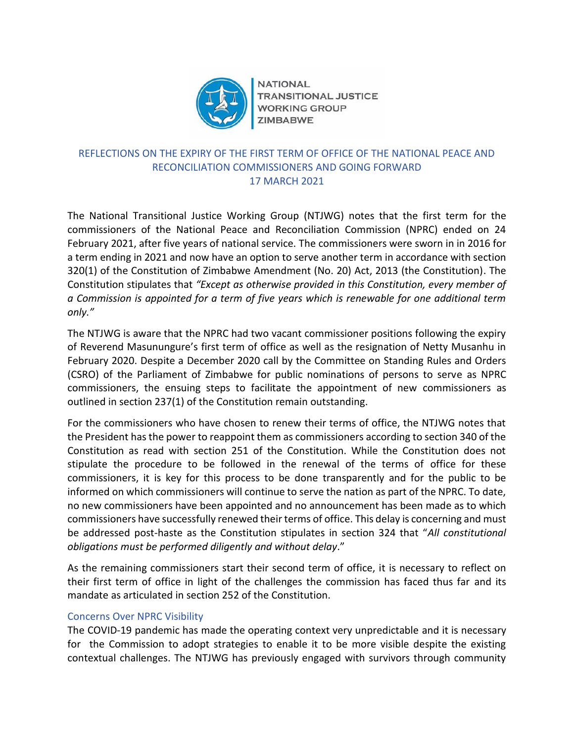

**NATIONAL TRANSITIONAL JUSTICE WORKING GROUP ZIMBABWE** 

# REFLECTIONS ON THE EXPIRY OF THE FIRST TERM OF OFFICE OF THE NATIONAL PEACE AND RECONCILIATION COMMISSIONERS AND GOING FORWARD 17 MARCH 2021

The National Transitional Justice Working Group (NTJWG) notes that the first term for the commissioners of the National Peace and Reconciliation Commission (NPRC) ended on 24 February 2021, after five years of national service. The commissioners were sworn in in 2016 for a term ending in 2021 and now have an option to serve another term in accordance with section 320(1) of the Constitution of Zimbabwe Amendment (No. 20) Act, 2013 (the Constitution). The Constitution stipulates that *"Except as otherwise provided in this Constitution, every member of a Commission is appointed for a term of five years which is renewable for one additional term only."*

The NTJWG is aware that the NPRC had two vacant commissioner positions following the expiry of Reverend Masunungure's first term of office as well as the resignation of Netty Musanhu in February 2020. Despite a December 2020 call by the Committee on Standing Rules and Orders (CSRO) of the Parliament of Zimbabwe for public nominations of persons to serve as NPRC commissioners, the ensuing steps to facilitate the appointment of new commissioners as outlined in section 237(1) of the Constitution remain outstanding.

For the commissioners who have chosen to renew their terms of office, the NTJWG notes that the President has the power to reappoint them as commissioners according to section 340 of the Constitution as read with section 251 of the Constitution. While the Constitution does not stipulate the procedure to be followed in the renewal of the terms of office for these commissioners, it is key for this process to be done transparently and for the public to be informed on which commissioners will continue to serve the nation as part of the NPRC. To date, no new commissioners have been appointed and no announcement has been made as to which commissioners have successfully renewed their terms of office. This delay is concerning and must be addressed post-haste as the Constitution stipulates in section 324 that "*All constitutional obligations must be performed diligently and without delay*."

As the remaining commissioners start their second term of office, it is necessary to reflect on their first term of office in light of the challenges the commission has faced thus far and its mandate as articulated in section 252 of the Constitution.

## Concerns Over NPRC Visibility

The COVID-19 pandemic has made the operating context very unpredictable and it is necessary for the Commission to adopt strategies to enable it to be more visible despite the existing contextual challenges. The NTJWG has previously engaged with survivors through community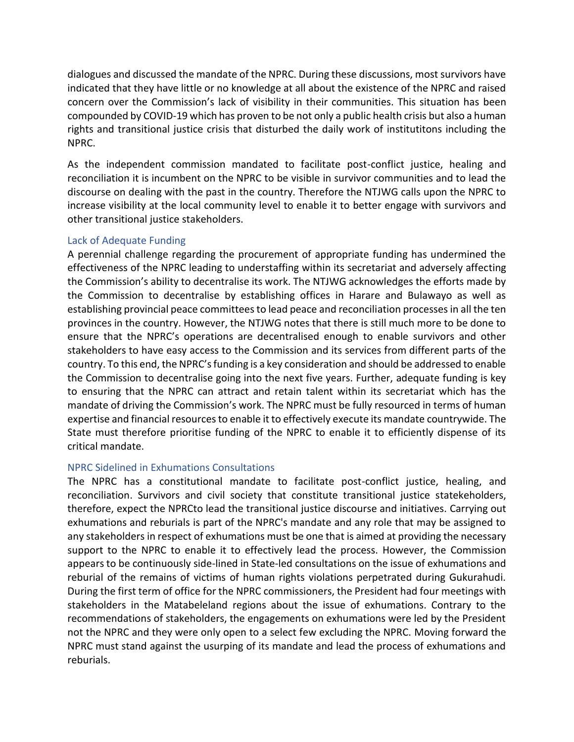dialogues and discussed the mandate of the NPRC. During these discussions, most survivors have indicated that they have little or no knowledge at all about the existence of the NPRC and raised concern over the Commission's lack of visibility in their communities. This situation has been compounded by COVID-19 which has proven to be not only a public health crisis but also a human rights and transitional justice crisis that disturbed the daily work of institutitons including the NPRC.

As the independent commission mandated to facilitate post-conflict justice, healing and reconciliation it is incumbent on the NPRC to be visible in survivor communities and to lead the discourse on dealing with the past in the country. Therefore the NTJWG calls upon the NPRC to increase visibility at the local community level to enable it to better engage with survivors and other transitional justice stakeholders.

## Lack of Adequate Funding

A perennial challenge regarding the procurement of appropriate funding has undermined the effectiveness of the NPRC leading to understaffing within its secretariat and adversely affecting the Commission's ability to decentralise its work. The NTJWG acknowledges the efforts made by the Commission to decentralise by establishing offices in Harare and Bulawayo as well as establishing provincial peace committees to lead peace and reconciliation processes in all the ten provinces in the country. However, the NTJWG notes that there is still much more to be done to ensure that the NPRC's operations are decentralised enough to enable survivors and other stakeholders to have easy access to the Commission and its services from different parts of the country. To this end, the NPRC's funding is a key consideration and should be addressed to enable the Commission to decentralise going into the next five years. Further, adequate funding is key to ensuring that the NPRC can attract and retain talent within its secretariat which has the mandate of driving the Commission's work. The NPRC must be fully resourced in terms of human expertise and financial resources to enable it to effectively execute its mandate countrywide. The State must therefore prioritise funding of the NPRC to enable it to efficiently dispense of its critical mandate.

## NPRC Sidelined in Exhumations Consultations

The NPRC has a constitutional mandate to facilitate post-conflict justice, healing, and reconciliation. Survivors and civil society that constitute transitional justice statekeholders, therefore, expect the NPRCto lead the transitional justice discourse and initiatives. Carrying out exhumations and reburials is part of the NPRC's mandate and any role that may be assigned to any stakeholders in respect of exhumations must be one that is aimed at providing the necessary support to the NPRC to enable it to effectively lead the process. However, the Commission appears to be continuously side-lined in State-led consultations on the issue of exhumations and reburial of the remains of victims of human rights violations perpetrated during Gukurahudi. During the first term of office for the NPRC commissioners, the President had four meetings with stakeholders in the Matabeleland regions about the issue of exhumations. Contrary to the recommendations of stakeholders, the engagements on exhumations were led by the President not the NPRC and they were only open to a select few excluding the NPRC. Moving forward the NPRC must stand against the usurping of its mandate and lead the process of exhumations and reburials.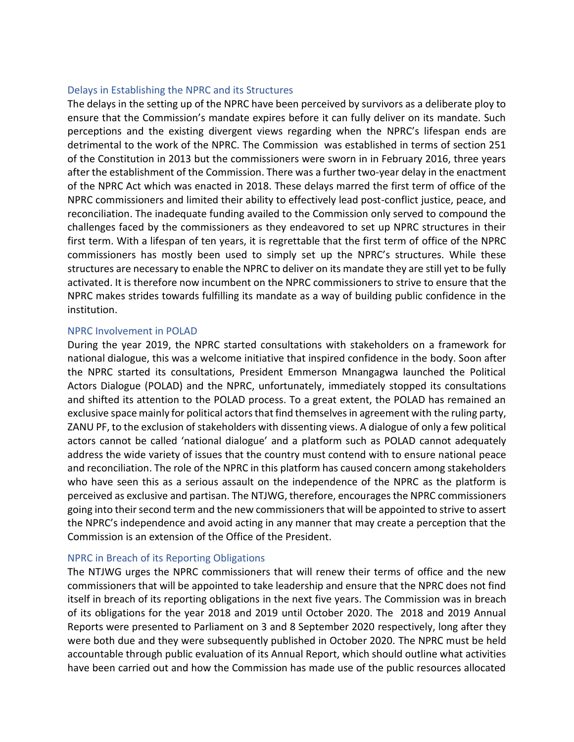### Delays in Establishing the NPRC and its Structures

The delays in the setting up of the NPRC have been perceived by survivors as a deliberate ploy to ensure that the Commission's mandate expires before it can fully deliver on its mandate. Such perceptions and the existing divergent views regarding when the NPRC's lifespan ends are detrimental to the work of the NPRC. The Commission was established in terms of section 251 of the Constitution in 2013 but the commissioners were sworn in in February 2016, three years after the establishment of the Commission. There was a further two-year delay in the enactment of the NPRC Act which was enacted in 2018. These delays marred the first term of office of the NPRC commissioners and limited their ability to effectively lead post-conflict justice, peace, and reconciliation. The inadequate funding availed to the Commission only served to compound the challenges faced by the commissioners as they endeavored to set up NPRC structures in their first term. With a lifespan of ten years, it is regrettable that the first term of office of the NPRC commissioners has mostly been used to simply set up the NPRC's structures. While these structures are necessary to enable the NPRC to deliver on its mandate they are still yet to be fully activated. It is therefore now incumbent on the NPRC commissioners to strive to ensure that the NPRC makes strides towards fulfilling its mandate as a way of building public confidence in the institution.

#### NPRC Involvement in POLAD

During the year 2019, the NPRC started consultations with stakeholders on a framework for national dialogue, this was a welcome initiative that inspired confidence in the body. Soon after the NPRC started its consultations, President Emmerson Mnangagwa launched the Political Actors Dialogue (POLAD) and the NPRC, unfortunately, immediately stopped its consultations and shifted its attention to the POLAD process. To a great extent, the POLAD has remained an exclusive space mainly for political actors that find themselves in agreement with the ruling party, ZANU PF, to the exclusion of stakeholders with dissenting views. A dialogue of only a few political actors cannot be called 'national dialogue' and a platform such as POLAD cannot adequately address the wide variety of issues that the country must contend with to ensure national peace and reconciliation. The role of the NPRC in this platform has caused concern among stakeholders who have seen this as a serious assault on the independence of the NPRC as the platform is perceived as exclusive and partisan. The NTJWG, therefore, encourages the NPRC commissioners going into their second term and the new commissioners that will be appointed to strive to assert the NPRC's independence and avoid acting in any manner that may create a perception that the Commission is an extension of the Office of the President.

## NPRC in Breach of its Reporting Obligations

The NTJWG urges the NPRC commissioners that will renew their terms of office and the new commissioners that will be appointed to take leadership and ensure that the NPRC does not find itself in breach of its reporting obligations in the next five years. The Commission was in breach of its obligations for the year 2018 and 2019 until October 2020. The 2018 and 2019 Annual Reports were presented to Parliament on 3 and 8 September 2020 respectively, long after they were both due and they were subsequently published in October 2020. The NPRC must be held accountable through public evaluation of its Annual Report, which should outline what activities have been carried out and how the Commission has made use of the public resources allocated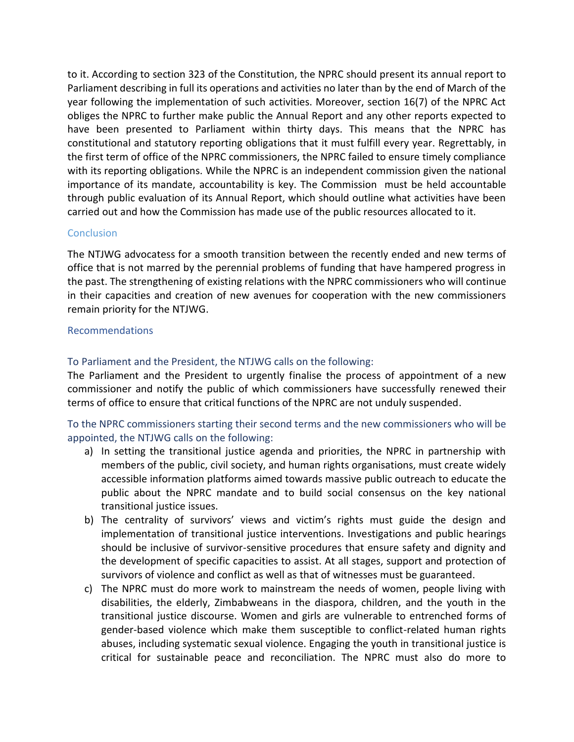to it. According to section 323 of the Constitution, the NPRC should present its annual report to Parliament describing in full its operations and activities no later than by the end of March of the year following the implementation of such activities. Moreover, section 16(7) of the NPRC Act obliges the NPRC to further make public the Annual Report and any other reports expected to have been presented to Parliament within thirty days. This means that the NPRC has constitutional and statutory reporting obligations that it must fulfill every year. Regrettably, in the first term of office of the NPRC commissioners, the NPRC failed to ensure timely compliance with its reporting obligations. While the NPRC is an independent commission given the national importance of its mandate, accountability is key. The Commission must be held accountable through public evaluation of its Annual Report, which should outline what activities have been carried out and how the Commission has made use of the public resources allocated to it.

## **Conclusion**

The NTJWG advocatess for a smooth transition between the recently ended and new terms of office that is not marred by the perennial problems of funding that have hampered progress in the past. The strengthening of existing relations with the NPRC commissioners who will continue in their capacities and creation of new avenues for cooperation with the new commissioners remain priority for the NTJWG.

## Recommendations

# To Parliament and the President, the NTJWG calls on the following:

The Parliament and the President to urgently finalise the process of appointment of a new commissioner and notify the public of which commissioners have successfully renewed their terms of office to ensure that critical functions of the NPRC are not unduly suspended.

To the NPRC commissioners starting their second terms and the new commissioners who will be appointed, the NTJWG calls on the following:

- a) In setting the transitional justice agenda and priorities, the NPRC in partnership with members of the public, civil society, and human rights organisations, must create widely accessible information platforms aimed towards massive public outreach to educate the public about the NPRC mandate and to build social consensus on the key national transitional justice issues.
- b) The centrality of survivors' views and victim's rights must guide the design and implementation of transitional justice interventions. Investigations and public hearings should be inclusive of survivor-sensitive procedures that ensure safety and dignity and the development of specific capacities to assist. At all stages, support and protection of survivors of violence and conflict as well as that of witnesses must be guaranteed.
- c) The NPRC must do more work to mainstream the needs of women, people living with disabilities, the elderly, Zimbabweans in the diaspora, children, and the youth in the transitional justice discourse. Women and girls are vulnerable to entrenched forms of gender-based violence which make them susceptible to conflict-related human rights abuses, including systematic sexual violence. Engaging the youth in transitional justice is critical for sustainable peace and reconciliation. The NPRC must also do more to